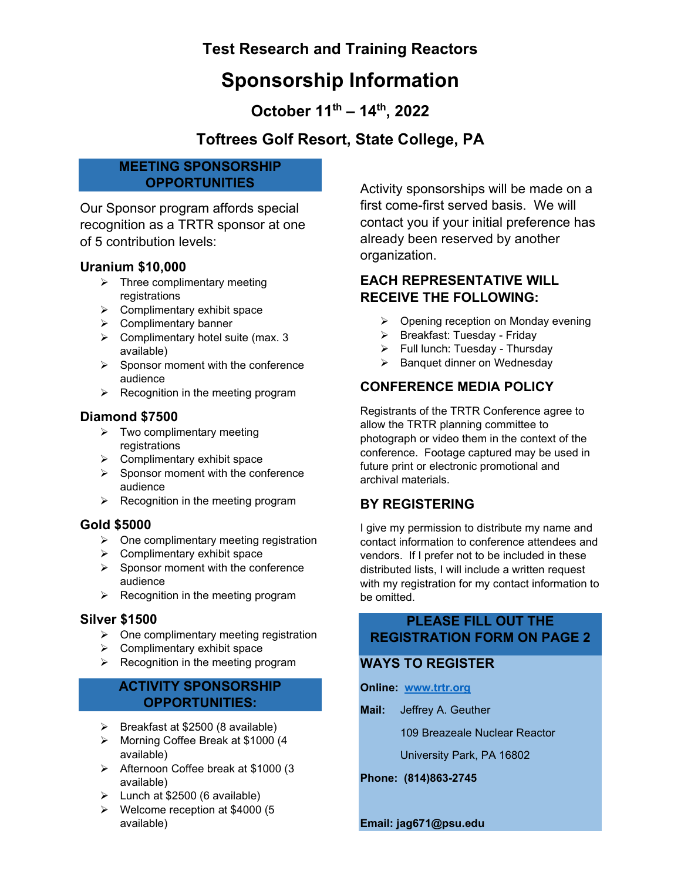# **Test Research and Training Reactors**

# **Sponsorship Information**

**October 11th – 14th, 2022**

# **Toftrees Golf Resort, State College, PA**

### **MEETING SPONSORSHIP OPPORTUNITIES**

Our Sponsor program affords special recognition as a TRTR sponsor at one of 5 contribution levels:

## **Uranium \$10,000**

- $\triangleright$  Three complimentary meeting registrations
- $\triangleright$  Complimentary exhibit space
- $\triangleright$  Complimentary banner
- $\triangleright$  Complimentary hotel suite (max. 3 available)
- $\triangleright$  Sponsor moment with the conference audience
- $\triangleright$  Recognition in the meeting program

## **Diamond \$7500**

- $\triangleright$  Two complimentary meeting registrations
- $\triangleright$  Complimentary exhibit space
- $\triangleright$  Sponsor moment with the conference audience
- $\triangleright$  Recognition in the meeting program

### **Gold \$5000**

- $\triangleright$  One complimentary meeting registration
- $\triangleright$  Complimentary exhibit space
- $\triangleright$  Sponsor moment with the conference audience
- $\triangleright$  Recognition in the meeting program

### **Silver \$1500**

- $\triangleright$  One complimentary meeting registration
- $\triangleright$  Complimentary exhibit space
- $\triangleright$  Recognition in the meeting program

## **ACTIVITY SPONSORSHIP OPPORTUNITIES:**

- $\triangleright$  Breakfast at \$2500 (8 available)
- Morning Coffee Break at \$1000 (4 available)
- Afternoon Coffee break at \$1000 (3 available)
- $\blacktriangleright$  Lunch at \$2500 (6 available)
- $\triangleright$  Welcome reception at \$4000 (5) available)

Activity sponsorships will be made on a first come-first served basis. We will contact you if your initial preference has already been reserved by another organization.

## **EACH REPRESENTATIVE WILL RECEIVE THE FOLLOWING:**

- $\triangleright$  Opening reception on Monday evening
- $\triangleright$  Breakfast: Tuesday Friday
- $\triangleright$  Full lunch: Tuesday Thursday
- $\triangleright$  Banquet dinner on Wednesday

## **CONFERENCE MEDIA POLICY**

Registrants of the TRTR Conference agree to allow the TRTR planning committee to photograph or video them in the context of the conference. Footage captured may be used in future print or electronic promotional and archival materials.

## **BY REGISTERING**

I give my permission to distribute my name and contact information to conference attendees and vendors. If I prefer not to be included in these distributed lists, I will include a written request with my registration for my contact information to be omitted.

## **PLEASE FILL OUT THE REGISTRATION FORM ON PAGE 2**

## **WAYS TO REGISTER**

- **Online: [www.trtr.org](http://www.trtr.org/)**
- **Mail:** Jeffrey A. Geuther

109 Breazeale Nuclear Reactor

University Park, PA 16802

**Phone: (814)863-2745**

**Email: jag671@psu.edu**